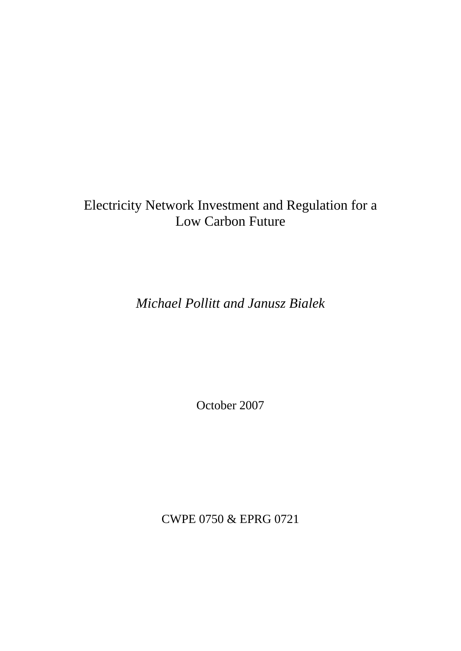# Electricity Network Investment and Regulation for a Low Carbon Future

*Michael Pollitt and Janusz Bialek* 

October 2007

CWPE 0750 & EPRG 0721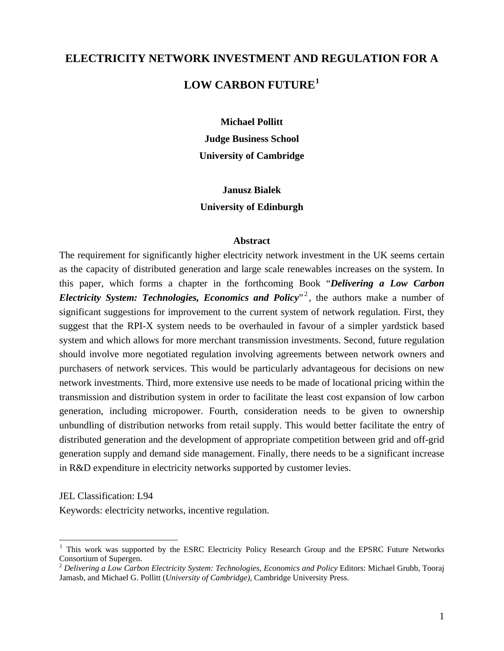## **ELECTRICITY NETWORK INVESTMENT AND REGULATION FOR A**

## **LOW CARBON FUTURE[1](#page-1-0)**

**Michael Pollitt Judge Business School University of Cambridge** 

**Janusz Bialek University of Edinburgh** 

#### **Abstract**

The requirement for significantly higher electricity network investment in the UK seems certain as the capacity of distributed generation and large scale renewables increases on the system. In this paper, which forms a chapter in the forthcoming Book "*Delivering a Low Carbon Electricity System: Technologies, Economics and Policy*<sup>"[2](#page-1-1)</sup>, the authors make a number of significant suggestions for improvement to the current system of network regulation. First, they suggest that the RPI-X system needs to be overhauled in favour of a simpler yardstick based system and which allows for more merchant transmission investments. Second, future regulation should involve more negotiated regulation involving agreements between network owners and purchasers of network services. This would be particularly advantageous for decisions on new network investments. Third, more extensive use needs to be made of locational pricing within the transmission and distribution system in order to facilitate the least cost expansion of low carbon generation, including micropower. Fourth, consideration needs to be given to ownership unbundling of distribution networks from retail supply. This would better facilitate the entry of distributed generation and the development of appropriate competition between grid and off-grid generation supply and demand side management. Finally, there needs to be a significant increase in R&D expenditure in electricity networks supported by customer levies.

JEL Classification: L94

 $\overline{a}$ 

Keywords: electricity networks, incentive regulation.

<span id="page-1-0"></span><sup>&</sup>lt;sup>1</sup> This work was supported by the ESRC Electricity Policy Research Group and the EPSRC Future Networks Consortium of Supergen.

<span id="page-1-1"></span><sup>2</sup> *Delivering a Low Carbon Electricity System: Technologies, Economics and Policy* Editors: Michael Grubb, Tooraj Jamasb, and Michael G. Pollitt (*University of Cambridge),* Cambridge University Press.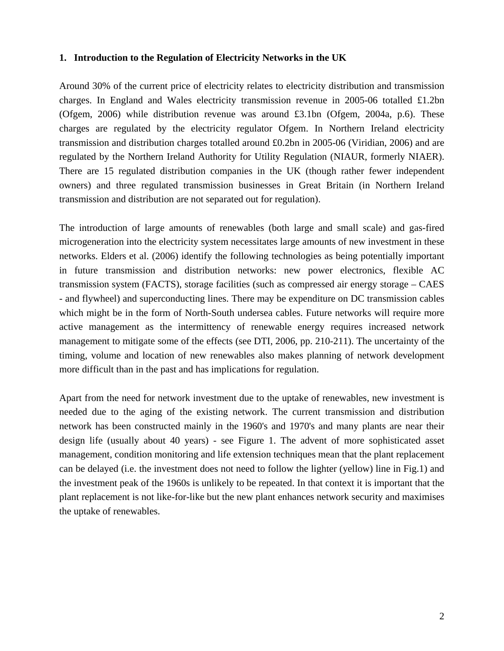#### **1. Introduction to the Regulation of Electricity Networks in the UK**

Around 30% of the current price of electricity relates to electricity distribution and transmission charges. In England and Wales electricity transmission revenue in 2005-06 totalled £1.2bn (Ofgem, 2006) while distribution revenue was around £3.1bn (Ofgem, 2004a, p.6). These charges are regulated by the electricity regulator Ofgem. In Northern Ireland electricity transmission and distribution charges totalled around £0.2bn in 2005-06 (Viridian, 2006) and are regulated by the Northern Ireland Authority for Utility Regulation (NIAUR, formerly NIAER). There are 15 regulated distribution companies in the UK (though rather fewer independent owners) and three regulated transmission businesses in Great Britain (in Northern Ireland transmission and distribution are not separated out for regulation).

The introduction of large amounts of renewables (both large and small scale) and gas-fired microgeneration into the electricity system necessitates large amounts of new investment in these networks. Elders et al. (2006) identify the following technologies as being potentially important in future transmission and distribution networks: new power electronics, flexible AC transmission system (FACTS), storage facilities (such as compressed air energy storage – CAES - and flywheel) and superconducting lines. There may be expenditure on DC transmission cables which might be in the form of North-South undersea cables. Future networks will require more active management as the intermittency of renewable energy requires increased network management to mitigate some of the effects (see DTI, 2006, pp. 210-211). The uncertainty of the timing, volume and location of new renewables also makes planning of network development more difficult than in the past and has implications for regulation.

Apart from the need for network investment due to the uptake of renewables, new investment is needed due to the aging of the existing network. The current transmission and distribution network has been constructed mainly in the 1960's and 1970's and many plants are near their design life (usually about 40 years) - see Figure 1. The advent of more sophisticated asset management, condition monitoring and life extension techniques mean that the plant replacement can be delayed (i.e. the investment does not need to follow the lighter (yellow) line in Fig.1) and the investment peak of the 1960s is unlikely to be repeated. In that context it is important that the plant replacement is not like-for-like but the new plant enhances network security and maximises the uptake of renewables.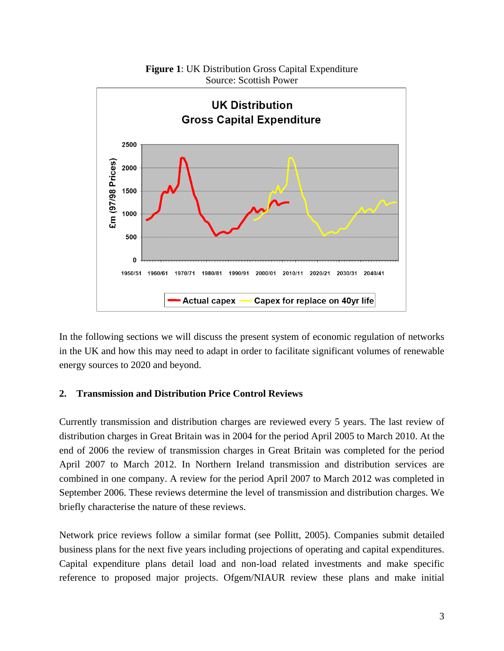



In the following sections we will discuss the present system of economic regulation of networks in the UK and how this may need to adapt in order to facilitate significant volumes of renewable energy sources to 2020 and beyond.

## **2. Transmission and Distribution Price Control Reviews**

Currently transmission and distribution charges are reviewed every 5 years. The last review of distribution charges in Great Britain was in 2004 for the period April 2005 to March 2010. At the end of 2006 the review of transmission charges in Great Britain was completed for the period April 2007 to March 2012. In Northern Ireland transmission and distribution services are combined in one company. A review for the period April 2007 to March 2012 was completed in September 2006. These reviews determine the level of transmission and distribution charges. We briefly characterise the nature of these reviews.

Network price reviews follow a similar format (see Pollitt, 2005). Companies submit detailed business plans for the next five years including projections of operating and capital expenditures. Capital expenditure plans detail load and non-load related investments and make specific reference to proposed major projects. Ofgem/NIAUR review these plans and make initial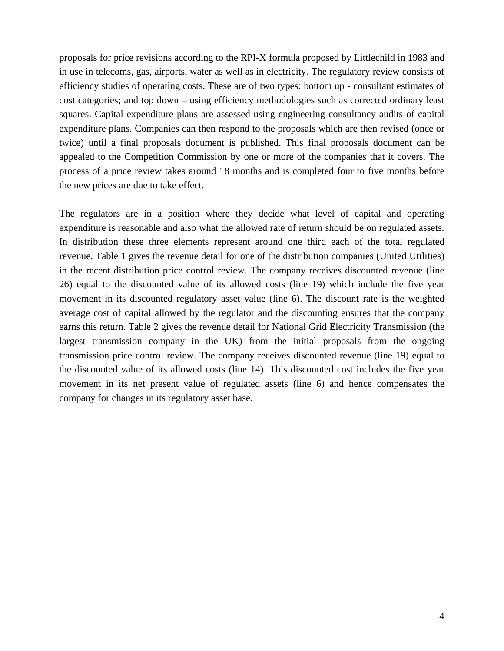proposals for price revisions according to the RPI-X formula proposed by Littlechild in 1983 and in use in telecoms, gas, airports, water as well as in electricity. The regulatory review consists of efficiency studies of operating costs. These are of two types: bottom up - consultant estimates of cost categories; and top down – using efficiency methodologies such as corrected ordinary least squares. Capital expenditure plans are assessed using engineering consultancy audits of capital expenditure plans. Companies can then respond to the proposals which are then revised (once or twice) until a final proposals document is published. This final proposals document can be appealed to the Competition Commission by one or more of the companies that it covers. The process of a price review takes around 18 months and is completed four to five months before the new prices are due to take effect.

The regulators are in a position where they decide what level of capital and operating expenditure is reasonable and also what the allowed rate of return should be on regulated assets. In distribution these three elements represent around one third each of the total regulated revenue. Table 1 gives the revenue detail for one of the distribution companies (United Utilities) in the recent distribution price control review. The company receives discounted revenue (line 26) equal to the discounted value of its allowed costs (line 19) which include the five year movement in its discounted regulatory asset value (line 6). The discount rate is the weighted average cost of capital allowed by the regulator and the discounting ensures that the company earns this return. Table 2 gives the revenue detail for National Grid Electricity Transmission (the largest transmission company in the UK) from the initial proposals from the ongoing transmission price control review. The company receives discounted revenue (line 19) equal to the discounted value of its allowed costs (line 14). This discounted cost includes the five year movement in its net present value of regulated assets (line 6) and hence compensates the company for changes in its regulatory asset base.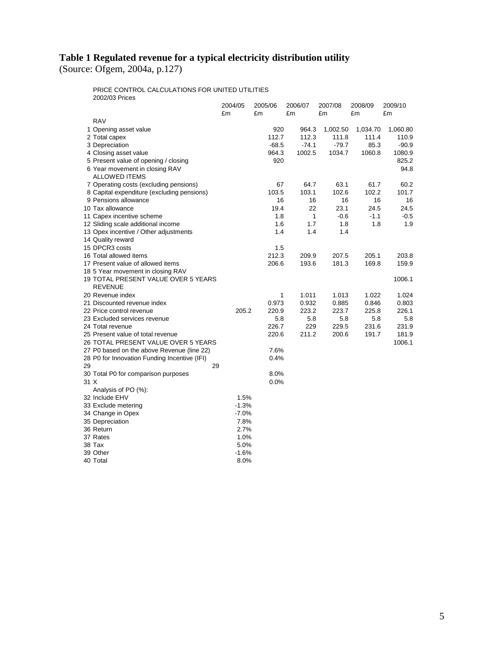#### **Table 1 Regulated revenue for a typical electricity distribution utility**

(Source: Ofgem, 2004a, p.127)

PRICE CONTROL CALCULATIONS FOR UNITED UTILITIES 2002/03 Prices

|                                                                                      | 2004/05<br>£m | 2005/06<br>£m |            | 2006/07<br>£m | 2007/08<br>£m | 2008/09<br>£m | 2009/10<br>£m |
|--------------------------------------------------------------------------------------|---------------|---------------|------------|---------------|---------------|---------------|---------------|
| <b>RAV</b>                                                                           |               |               |            |               |               |               |               |
| 1 Opening asset value                                                                |               |               | 920        | 964.3         | 1,002.50      | 1,034.70      | 1,060.80      |
| 2 Total capex                                                                        |               |               | 112.7      | 112.3         | 111.8         | 111.4         | 110.9         |
| 3 Depreciation                                                                       |               |               | $-68.5$    | $-74.1$       | $-79.7$       | 85.3          | $-90.9$       |
| 4 Closing asset value                                                                |               |               | 964.3      | 1002.5        | 1034.7        | 1060.8        | 1080.9        |
| 5 Present value of opening / closing                                                 |               |               | 920        |               |               |               | 825.2         |
| 6 Year movement in closing RAV                                                       |               |               |            |               |               |               | 94.8          |
| <b>ALLOWED ITEMS</b>                                                                 |               |               |            |               |               |               |               |
|                                                                                      |               |               | 67         | 64.7          | 63.1          | 61.7          | 60.2          |
| 7 Operating costs (excluding pensions)<br>8 Capital expenditure (excluding pensions) |               |               | 103.5      | 103.1         | 102.6         | 102.2         | 101.7         |
| 9 Pensions allowance                                                                 |               |               |            |               |               | 16            |               |
| 10 Tax allowance                                                                     |               |               | 16<br>19.4 | 16<br>22      | 16<br>23.1    | 24.5          | 16<br>24.5    |
|                                                                                      |               |               |            |               |               |               |               |
| 11 Capex incentive scheme                                                            |               |               | 1.8        | 1             | $-0.6$        | $-1.1$        | $-0.5$        |
| 12 Sliding scale additional income                                                   |               |               | 1.6        | 1.7           | 1.8           | 1.8           | 1.9           |
| 13 Opex incentive / Other adjustments                                                |               |               | 1.4        | 1.4           | 1.4           |               |               |
| 14 Quality reward                                                                    |               |               |            |               |               |               |               |
| 15 DPCR3 costs                                                                       |               |               | 1.5        |               |               |               |               |
| 16 Total allowed items                                                               |               |               | 212.3      | 209.9         | 207.5         | 205.1         | 203.8         |
| 17 Present value of allowed items                                                    |               |               | 206.6      | 193.6         | 181.3         | 169.8         | 159.9         |
| 18 5 Year movement in closing RAV                                                    |               |               |            |               |               |               |               |
| 19 TOTAL PRESENT VALUE OVER 5 YEARS                                                  |               |               |            |               |               |               | 1006.1        |
| <b>REVENUE</b>                                                                       |               |               |            |               |               |               |               |
| 20 Revenue index                                                                     |               |               | 1          | 1.011         | 1.013         | 1.022         | 1.024         |
| 21 Discounted revenue index                                                          |               |               | 0.973      | 0.932         | 0.885         | 0.846         | 0.803         |
| 22 Price control revenue                                                             | 205.2         |               | 220.9      | 223.2         | 223.7         | 225.8         | 226.1         |
| 23 Excluded services revenue                                                         |               |               | 5.8        | 5.8           | 5.8           | 5.8           | 5.8           |
| 24 Total revenue                                                                     |               |               | 226.7      | 229           | 229.5         | 231.6         | 231.9         |
| 25 Present value of total revenue                                                    |               |               | 220.6      | 211.2         | 200.6         | 191.7         | 181.9         |
| 26 TOTAL PRESENT VALUE OVER 5 YEARS                                                  |               |               |            |               |               |               | 1006.1        |
| 27 P0 based on the above Revenue (line 22)                                           |               |               | 7.6%       |               |               |               |               |
| 28 P0 for Innovation Funding Incentive (IFI)                                         |               |               | 0.4%       |               |               |               |               |
| 29<br>29                                                                             |               |               |            |               |               |               |               |
| 30 Total P0 for comparison purposes                                                  |               |               | 8.0%       |               |               |               |               |
| 31 X                                                                                 |               |               | 0.0%       |               |               |               |               |
| Analysis of PO (%):                                                                  |               |               |            |               |               |               |               |
| 32 Include EHV                                                                       | 1.5%          |               |            |               |               |               |               |
| 33 Exclude metering                                                                  | $-1.3%$       |               |            |               |               |               |               |
| 34 Change in Opex                                                                    | $-7.0%$       |               |            |               |               |               |               |
| 35 Depreciation                                                                      | 7.8%          |               |            |               |               |               |               |
| 36 Return                                                                            | 2.7%          |               |            |               |               |               |               |
| 37 Rates                                                                             | 1.0%          |               |            |               |               |               |               |
| 38 Tax                                                                               | 5.0%          |               |            |               |               |               |               |
| 39 Other                                                                             | $-1.6%$       |               |            |               |               |               |               |
| 40 Total                                                                             | 8.0%          |               |            |               |               |               |               |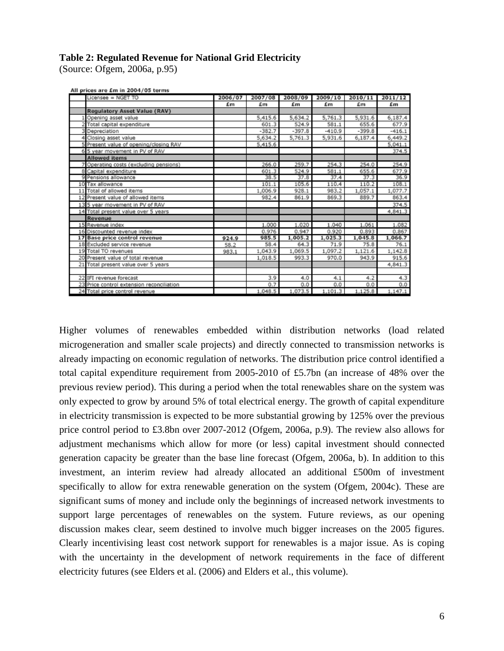## **Table 2: Regulated Revenue for National Grid Electricity**

(Source: Ofgem, 2006a, p.95)

| Licensee = NGET TO                        | 2006/07 | 2007/08  | 2008/09  | 2009/10  | 2010/11  | 2011/12  |
|-------------------------------------------|---------|----------|----------|----------|----------|----------|
|                                           | £m      | £m       | £m       | £m       | £m       | £m       |
| Regulatory Asset Value (RAV)              |         |          |          |          |          |          |
| Opening asset value                       |         | 5,415.6  | 5,634.2  | 5,761.3  | 5,931.6  | 6,187.4  |
| 2 Total capital expenditure               |         | 601.3    | 524.9    | 581.1    | 655.6    | 677.9    |
| 3 Depreciation                            |         | $-382.7$ | $-397.8$ | $-410.9$ | $-399.8$ | $-416.1$ |
| Closing asset value                       |         | 5,634.2  | 5,761.3  | 5,931.6  | 6,187.4  | 6,449.2  |
| 5 Present value of opening/closing RAV    |         | 5,415.6  |          |          |          | 5,041.1  |
| 6.5 year movement in PV of RAV            |         |          |          |          |          | 374.5    |
| <b>Allowed items</b>                      |         |          |          |          |          |          |
| 7 Operating costs (excluding pensions)    |         | 266.0    | 259.7    | 254.3    | 254.0    | 254.9    |
| 8 Capital expenditure                     |         | 601.3    | 524.9    | 581.1    | 655.6    | 677.9    |
| 9 Pensions allowance                      |         | 38.5     | 37.8     | 37.4     | 37.3     | 36.9     |
| 10 Tax allowance                          |         | 101.1    | 105.6    | 110.4    | 110.2    | 108.1    |
| 11 Total of allowed items                 |         | 1,006.9  | 928.1    | 983.2    | 1,057.1  | 1,077.7  |
| 12 Present value of allowed items         |         | 982.4    | 861.9    | 869.3    | 889.7    | 863.4    |
| 13 5 year movement in PV of RAV           |         |          |          |          |          | 374.5    |
| 14 Total present value over 5 years       |         |          |          |          |          | 4,841.3  |
| Revenue                                   |         |          |          |          |          |          |
| 15 Revenue index                          |         | 1.000    | 1.020    | 1.040    | 1.061    | 1.082    |
| 16 Discounted revenue index               |         | 0.976    | 0.947    | 0.920    | 0.893    | 0.867    |
| 17 Base price control revenue             | 924.9   | 985.5    | 1,005.2  | 1,025.3  | 1,045.8  | 1,066.7  |
| 18 Excluded service revenue               | 58.2    | 58.4     | 64.3     | 71.9     | 75.8     | 76.1     |
| 19 Total TO revenues                      | 983.1   | 1,043.9  | 1,069.5  | 1,097.2  | 1,121.6  | 1,142.8  |
| 20 Present value of total revenue         |         | 1,018.5  | 993.3    | 970.0    | 943.9    | 915.6    |
| 21 Total present value over 5 years       |         |          |          |          |          | 4,841.3  |
|                                           |         |          |          |          |          |          |
| 22 IFI revenue forecast                   |         | 3.9      | 4.0      | 4.1      | 4.2      | 4.3      |
| 23 Price control extension reconciliation |         | 0.7      | 0.0      | 0.0      | 0.0      | 0.0      |
| 24 Total price control revenue            |         | 1,048.5  | 1,073.5  | 1,101.3  | 1,125.8  | 1,147.1  |

All aslege are for in 2004/05 terms

Higher volumes of renewables embedded within distribution networks (load related microgeneration and smaller scale projects) and directly connected to transmission networks is already impacting on economic regulation of networks. The distribution price control identified a total capital expenditure requirement from 2005-2010 of £5.7bn (an increase of 48% over the previous review period). This during a period when the total renewables share on the system was only expected to grow by around 5% of total electrical energy. The growth of capital expenditure in electricity transmission is expected to be more substantial growing by 125% over the previous price control period to £3.8bn over 2007-2012 (Ofgem, 2006a, p.9). The review also allows for adjustment mechanisms which allow for more (or less) capital investment should connected generation capacity be greater than the base line forecast (Ofgem, 2006a, b). In addition to this investment, an interim review had already allocated an additional £500m of investment specifically to allow for extra renewable generation on the system (Ofgem, 2004c). These are significant sums of money and include only the beginnings of increased network investments to support large percentages of renewables on the system. Future reviews, as our opening discussion makes clear, seem destined to involve much bigger increases on the 2005 figures. Clearly incentivising least cost network support for renewables is a major issue. As is coping with the uncertainty in the development of network requirements in the face of different electricity futures (see Elders et al. (2006) and Elders et al., this volume).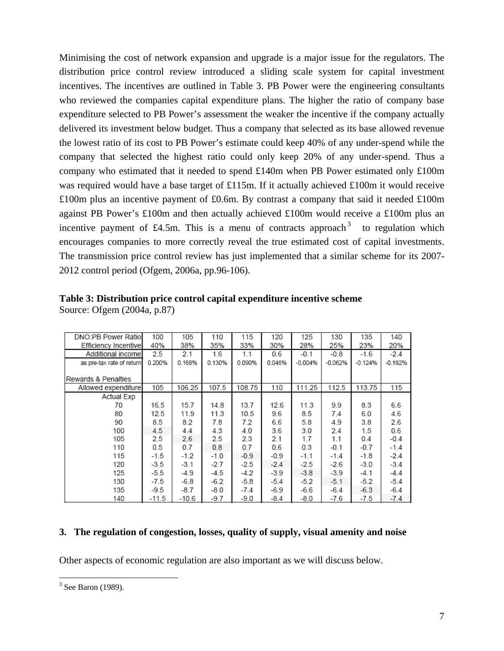Minimising the cost of network expansion and upgrade is a major issue for the regulators. The distribution price control review introduced a sliding scale system for capital investment incentives. The incentives are outlined in Table 3. PB Power were the engineering consultants who reviewed the companies capital expenditure plans. The higher the ratio of company base expenditure selected to PB Power's assessment the weaker the incentive if the company actually delivered its investment below budget. Thus a company that selected as its base allowed revenue the lowest ratio of its cost to PB Power's estimate could keep 40% of any under-spend while the company that selected the highest ratio could only keep 20% of any under-spend. Thus a company who estimated that it needed to spend £140m when PB Power estimated only £100m was required would have a base target of £115m. If it actually achieved £100m it would receive  $£100m$  plus an incentive payment of £0.6m. By contrast a company that said it needed £100m against PB Power's £100m and then actually achieved £100m would receive a £100m plus an incentive payment of £4.5m. This is a menu of contracts approach<sup>[3](#page-7-0)</sup> to regulation which encourages companies to more correctly reveal the true estimated cost of capital investments. The transmission price control review has just implemented that a similar scheme for its 2007- 2012 control period (Ofgem, 2006a, pp.96-106).

| DNO:PB Power Ratiol       | 100     | 105    | 110    | 115    | 120    | 125       | 130       | 135       | 140         |
|---------------------------|---------|--------|--------|--------|--------|-----------|-----------|-----------|-------------|
| Efficiency Incentive      | 40%     | 38%    | 35%    | 33%    | 30%    | 28%       | 25%       | 23%       | 20%         |
| Additional income         | 2.5     | 2.1    | 1.6    | 1.1    | 0.6    | $-0.1$    | $-0.8$    | $-1.6$    | -2.4        |
| as pre-tax rate of return | 0.200%  | 0.168% | 0.130% | 0.090% | 0.046% | $-0.004%$ | $-0.062%$ | $-0.124%$ | -0.192%     |
|                           |         |        |        |        |        |           |           |           |             |
| Rewards & Penalties       |         |        |        |        |        |           |           |           |             |
| Allowed expenditure       | 105     | 106.25 | 107.5  | 108.75 | 110    | 111.25    | 112.5     | 113.75    | 115         |
| Actual Exp                |         |        |        |        |        |           |           |           |             |
| 70                        | 16.5    | 15.7   | 14.8   | 13.7   | 12.6   | 11.3      | 9.9       | 8.3       | 6.6         |
| 80                        | 12.5    | 11.9   | 11.3   | 10.5   | 9.6    | 8.5       | 7.4       | 6.0       | 4.6         |
| 90                        | 8.5     | 8.2    | 7.8    | 7.2    | 6.6    | 5.8       | 4.9       | 3.8       | 2.6         |
| 100                       | 4.5     | 4.4    | 4.3    | 4.0    | 3.6    | 3.0       | 2.4       | 1.5       | 0.6         |
| 105                       | 2.5     | 2.6    | 2.5    | 2.3    | 2.1    | 1.7       | 1.1       | 0.4       | $-0.4$      |
| 110                       | 0.5     | 0.7    | 0.8    | 0.7    | 0.6    | 0.3       | $-0.1$    | $-0.7$    | $-1.4$      |
| 115                       | $-1.5$  | $-1.2$ | $-1.0$ | -0.9   | -0.9   | $-1.1$    | $-1.4$    | $-1.8$    | -2.4        |
| 120                       | $-3.5$  | $-3.1$ | $-2.7$ | -2.5   | $-2.4$ | $-2.5$    | -2.6      | $-3.0$    | $-3.4$      |
| 125                       | $-5.5$  | -4.9   | -4.5   | -4.2   | $-3.9$ | $-3.8$    | $-3.9$    | $-4.1$    | $-4.4$      |
| 130                       | -7.5    | $-6.8$ | $-6.2$ | -5.8   | $-5.4$ | -5.2      | $-5.1$    | $-5.2$    | $-5.4$      |
| 135                       | $-9.5$  | -8.7   | $-8.0$ | -7.4   | -6.9   | -6.6      | -6.4      | $-6.3$    | -6.4        |
| 140                       | $-11.5$ | $-105$ | -97    | -9 N   | -8 4   | -8 N      | -76       | $-75$     | $-7\Lambda$ |

#### **Table 3: Distribution price control capital expenditure incentive scheme**  Source: Ofgem (2004a, p.87)

## **3. The regulation of congestion, losses, quality of supply, visual amenity and noise**

Other aspects of economic regulation are also important as we will discuss below.

<u>.</u>

<span id="page-7-0"></span> $3$  See Baron (1989).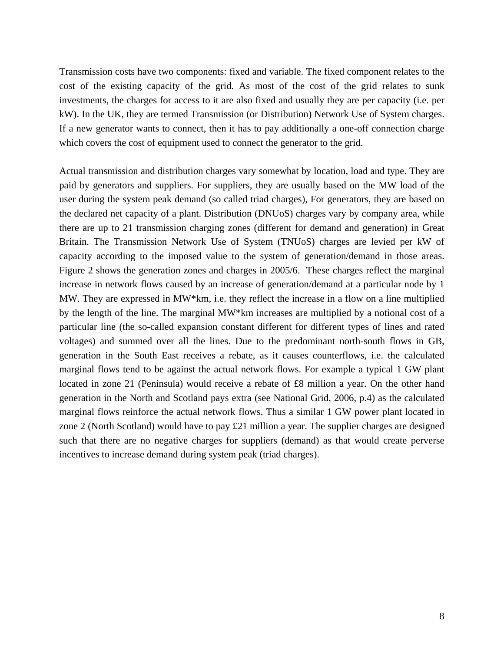Transmission costs have two components: fixed and variable. The fixed component relates to the cost of the existing capacity of the grid. As most of the cost of the grid relates to sunk investments, the charges for access to it are also fixed and usually they are per capacity (i.e. per kW). In the UK, they are termed Transmission (or Distribution) Network Use of System charges. If a new generator wants to connect, then it has to pay additionally a one-off connection charge which covers the cost of equipment used to connect the generator to the grid.

Actual transmission and distribution charges vary somewhat by location, load and type. They are paid by generators and suppliers. For suppliers, they are usually based on the MW load of the user during the system peak demand (so called triad charges), For generators, they are based on the declared net capacity of a plant. Distribution (DNUoS) charges vary by company area, while there are up to 21 transmission charging zones (different for demand and generation) in Great Britain. The Transmission Network Use of System (TNUoS) charges are levied per kW of capacity according to the imposed value to the system of generation/demand in those areas. Figure 2 shows the generation zones and charges in 2005/6. These charges reflect the marginal increase in network flows caused by an increase of generation/demand at a particular node by 1 MW. They are expressed in MW\*km, i.e. they reflect the increase in a flow on a line multiplied by the length of the line. The marginal MW\*km increases are multiplied by a notional cost of a particular line (the so-called expansion constant different for different types of lines and rated voltages) and summed over all the lines. Due to the predominant north-south flows in GB, generation in the South East receives a rebate, as it causes counterflows, i.e. the calculated marginal flows tend to be against the actual network flows. For example a typical 1 GW plant located in zone 21 (Peninsula) would receive a rebate of £8 million a year. On the other hand generation in the North and Scotland pays extra (see National Grid, 2006, p.4) as the calculated marginal flows reinforce the actual network flows. Thus a similar 1 GW power plant located in zone 2 (North Scotland) would have to pay £21 million a year. The supplier charges are designed such that there are no negative charges for suppliers (demand) as that would create perverse incentives to increase demand during system peak (triad charges).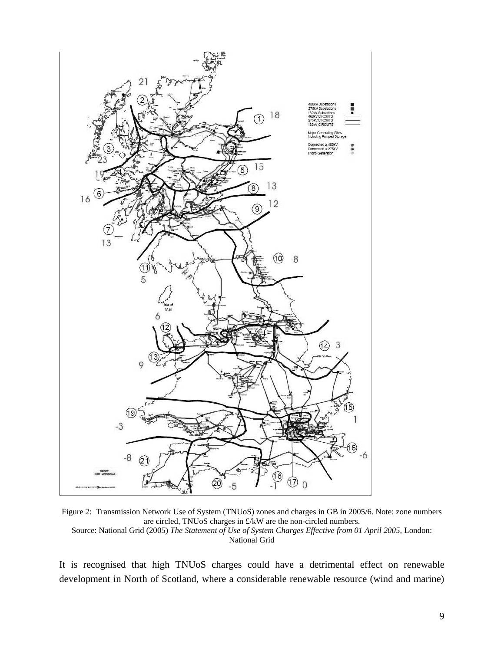

Figure 2: Transmission Network Use of System (TNUoS) zones and charges in GB in 2005/6. Note: zone numbers are circled, TNUoS charges in £/kW are the non-circled numbers. Source: National Grid (2005) *The Statement of Use of System Charges Effective from 01 April 2005*, London: National Grid

It is recognised that high TNUoS charges could have a detrimental effect on renewable development in North of Scotland, where a considerable renewable resource (wind and marine)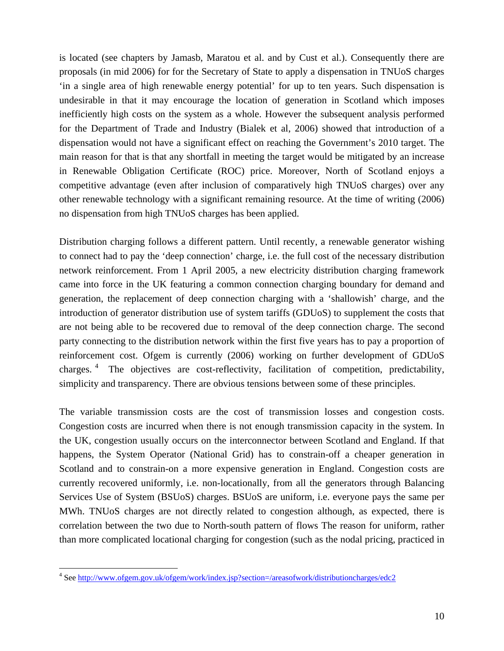is located (see chapters by Jamasb, Maratou et al. and by Cust et al.). Consequently there are proposals (in mid 2006) for for the Secretary of State to apply a dispensation in TNUoS charges 'in a single area of high renewable energy potential' for up to ten years. Such dispensation is undesirable in that it may encourage the location of generation in Scotland which imposes inefficiently high costs on the system as a whole. However the subsequent analysis performed for the Department of Trade and Industry (Bialek et al, 2006) showed that introduction of a dispensation would not have a significant effect on reaching the Government's 2010 target. The main reason for that is that any shortfall in meeting the target would be mitigated by an increase in Renewable Obligation Certificate (ROC) price. Moreover, North of Scotland enjoys a competitive advantage (even after inclusion of comparatively high TNUoS charges) over any other renewable technology with a significant remaining resource. At the time of writing (2006) no dispensation from high TNUoS charges has been applied.

Distribution charging follows a different pattern. Until recently, a renewable generator wishing to connect had to pay the 'deep connection' charge, i.e. the full cost of the necessary distribution network reinforcement. From 1 April 2005, a new electricity distribution charging framework came into force in the UK featuring a common connection charging boundary for demand and generation, the replacement of deep connection charging with a 'shallowish' charge, and the introduction of generator distribution use of system tariffs (GDUoS) to supplement the costs that are not being able to be recovered due to removal of the deep connection charge. The second party connecting to the distribution network within the first five years has to pay a proportion of reinforcement cost. Ofgem is currently (2006) working on further development of GDUoS charges. [4](#page-10-0) The objectives are cost-reflectivity, facilitation of competition, predictability, simplicity and transparency. There are obvious tensions between some of these principles.

The variable transmission costs are the cost of transmission losses and congestion costs. Congestion costs are incurred when there is not enough transmission capacity in the system. In the UK, congestion usually occurs on the interconnector between Scotland and England. If that happens, the System Operator (National Grid) has to constrain-off a cheaper generation in Scotland and to constrain-on a more expensive generation in England. Congestion costs are currently recovered uniformly, i.e. non-locationally, from all the generators through Balancing Services Use of System (BSUoS) charges. BSUoS are uniform, i.e. everyone pays the same per MWh. TNUoS charges are not directly related to congestion although, as expected, there is correlation between the two due to North-south pattern of flows The reason for uniform, rather than more complicated locational charging for congestion (such as the nodal pricing, practiced in

<span id="page-10-0"></span> 4 See <http://www.ofgem.gov.uk/ofgem/work/index.jsp?section=/areasofwork/distributioncharges/edc2>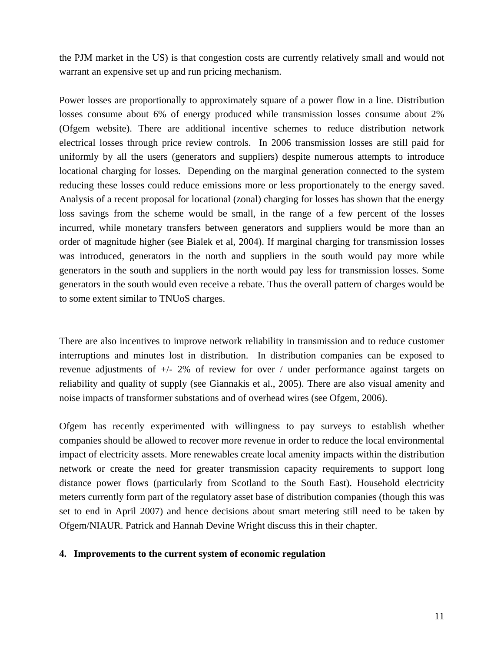the PJM market in the US) is that congestion costs are currently relatively small and would not warrant an expensive set up and run pricing mechanism.

Power losses are proportionally to approximately square of a power flow in a line. Distribution losses consume about 6% of energy produced while transmission losses consume about 2% (Ofgem website). There are additional incentive schemes to reduce distribution network electrical losses through price review controls. In 2006 transmission losses are still paid for uniformly by all the users (generators and suppliers) despite numerous attempts to introduce locational charging for losses. Depending on the marginal generation connected to the system reducing these losses could reduce emissions more or less proportionately to the energy saved. Analysis of a recent proposal for locational (zonal) charging for losses has shown that the energy loss savings from the scheme would be small, in the range of a few percent of the losses incurred, while monetary transfers between generators and suppliers would be more than an order of magnitude higher (see Bialek et al, 2004). If marginal charging for transmission losses was introduced, generators in the north and suppliers in the south would pay more while generators in the south and suppliers in the north would pay less for transmission losses. Some generators in the south would even receive a rebate. Thus the overall pattern of charges would be to some extent similar to TNUoS charges.

There are also incentives to improve network reliability in transmission and to reduce customer interruptions and minutes lost in distribution. In distribution companies can be exposed to revenue adjustments of +/- 2% of review for over / under performance against targets on reliability and quality of supply (see Giannakis et al., 2005). There are also visual amenity and noise impacts of transformer substations and of overhead wires (see Ofgem, 2006).

Ofgem has recently experimented with willingness to pay surveys to establish whether companies should be allowed to recover more revenue in order to reduce the local environmental impact of electricity assets. More renewables create local amenity impacts within the distribution network or create the need for greater transmission capacity requirements to support long distance power flows (particularly from Scotland to the South East). Household electricity meters currently form part of the regulatory asset base of distribution companies (though this was set to end in April 2007) and hence decisions about smart metering still need to be taken by Ofgem/NIAUR. Patrick and Hannah Devine Wright discuss this in their chapter.

## **4. Improvements to the current system of economic regulation**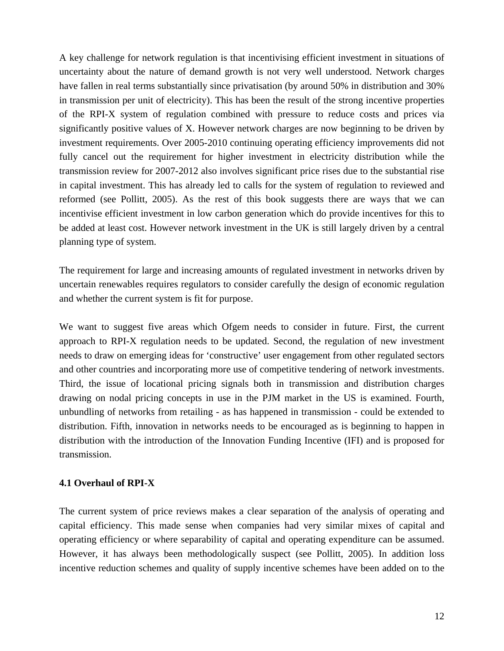A key challenge for network regulation is that incentivising efficient investment in situations of uncertainty about the nature of demand growth is not very well understood. Network charges have fallen in real terms substantially since privatisation (by around 50% in distribution and 30%) in transmission per unit of electricity). This has been the result of the strong incentive properties of the RPI-X system of regulation combined with pressure to reduce costs and prices via significantly positive values of X. However network charges are now beginning to be driven by investment requirements. Over 2005-2010 continuing operating efficiency improvements did not fully cancel out the requirement for higher investment in electricity distribution while the transmission review for 2007-2012 also involves significant price rises due to the substantial rise in capital investment. This has already led to calls for the system of regulation to reviewed and reformed (see Pollitt, 2005). As the rest of this book suggests there are ways that we can incentivise efficient investment in low carbon generation which do provide incentives for this to be added at least cost. However network investment in the UK is still largely driven by a central planning type of system.

The requirement for large and increasing amounts of regulated investment in networks driven by uncertain renewables requires regulators to consider carefully the design of economic regulation and whether the current system is fit for purpose.

We want to suggest five areas which Ofgem needs to consider in future. First, the current approach to RPI-X regulation needs to be updated. Second, the regulation of new investment needs to draw on emerging ideas for 'constructive' user engagement from other regulated sectors and other countries and incorporating more use of competitive tendering of network investments. Third, the issue of locational pricing signals both in transmission and distribution charges drawing on nodal pricing concepts in use in the PJM market in the US is examined. Fourth, unbundling of networks from retailing - as has happened in transmission - could be extended to distribution. Fifth, innovation in networks needs to be encouraged as is beginning to happen in distribution with the introduction of the Innovation Funding Incentive (IFI) and is proposed for transmission.

## **4.1 Overhaul of RPI-X**

The current system of price reviews makes a clear separation of the analysis of operating and capital efficiency. This made sense when companies had very similar mixes of capital and operating efficiency or where separability of capital and operating expenditure can be assumed. However, it has always been methodologically suspect (see Pollitt, 2005). In addition loss incentive reduction schemes and quality of supply incentive schemes have been added on to the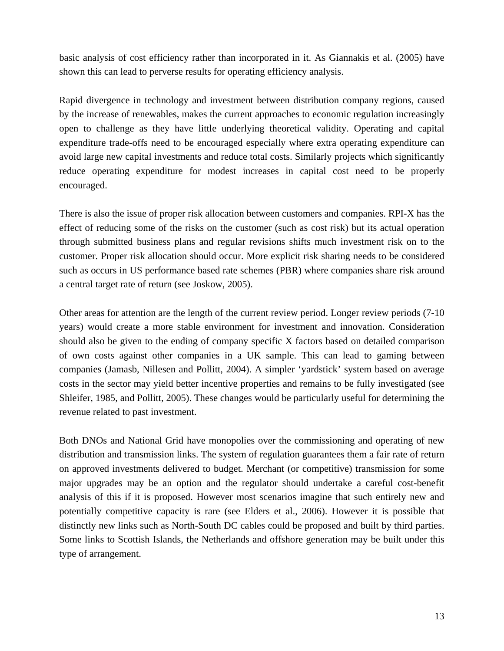basic analysis of cost efficiency rather than incorporated in it. As Giannakis et al. (2005) have shown this can lead to perverse results for operating efficiency analysis.

Rapid divergence in technology and investment between distribution company regions, caused by the increase of renewables, makes the current approaches to economic regulation increasingly open to challenge as they have little underlying theoretical validity. Operating and capital expenditure trade-offs need to be encouraged especially where extra operating expenditure can avoid large new capital investments and reduce total costs. Similarly projects which significantly reduce operating expenditure for modest increases in capital cost need to be properly encouraged.

There is also the issue of proper risk allocation between customers and companies. RPI-X has the effect of reducing some of the risks on the customer (such as cost risk) but its actual operation through submitted business plans and regular revisions shifts much investment risk on to the customer. Proper risk allocation should occur. More explicit risk sharing needs to be considered such as occurs in US performance based rate schemes (PBR) where companies share risk around a central target rate of return (see Joskow, 2005).

Other areas for attention are the length of the current review period. Longer review periods (7-10 years) would create a more stable environment for investment and innovation. Consideration should also be given to the ending of company specific X factors based on detailed comparison of own costs against other companies in a UK sample. This can lead to gaming between companies (Jamasb, Nillesen and Pollitt, 2004). A simpler 'yardstick' system based on average costs in the sector may yield better incentive properties and remains to be fully investigated (see Shleifer, 1985, and Pollitt, 2005). These changes would be particularly useful for determining the revenue related to past investment.

Both DNOs and National Grid have monopolies over the commissioning and operating of new distribution and transmission links. The system of regulation guarantees them a fair rate of return on approved investments delivered to budget. Merchant (or competitive) transmission for some major upgrades may be an option and the regulator should undertake a careful cost-benefit analysis of this if it is proposed. However most scenarios imagine that such entirely new and potentially competitive capacity is rare (see Elders et al., 2006). However it is possible that distinctly new links such as North-South DC cables could be proposed and built by third parties. Some links to Scottish Islands, the Netherlands and offshore generation may be built under this type of arrangement.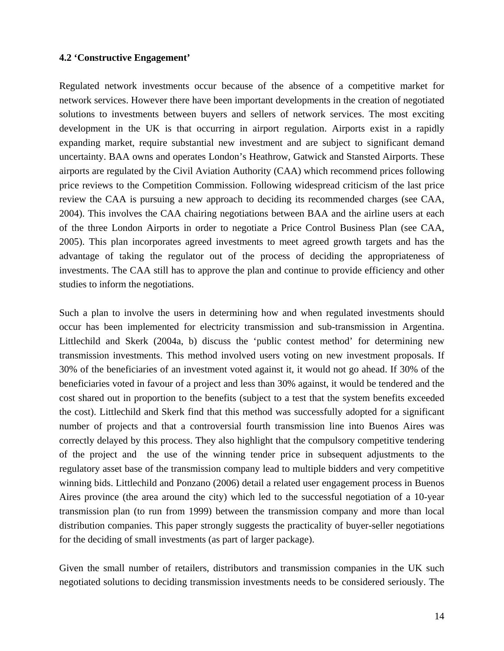#### **4.2 'Constructive Engagement'**

Regulated network investments occur because of the absence of a competitive market for network services. However there have been important developments in the creation of negotiated solutions to investments between buyers and sellers of network services. The most exciting development in the UK is that occurring in airport regulation. Airports exist in a rapidly expanding market, require substantial new investment and are subject to significant demand uncertainty. BAA owns and operates London's Heathrow, Gatwick and Stansted Airports. These airports are regulated by the Civil Aviation Authority (CAA) which recommend prices following price reviews to the Competition Commission. Following widespread criticism of the last price review the CAA is pursuing a new approach to deciding its recommended charges (see CAA, 2004). This involves the CAA chairing negotiations between BAA and the airline users at each of the three London Airports in order to negotiate a Price Control Business Plan (see CAA, 2005). This plan incorporates agreed investments to meet agreed growth targets and has the advantage of taking the regulator out of the process of deciding the appropriateness of investments. The CAA still has to approve the plan and continue to provide efficiency and other studies to inform the negotiations.

Such a plan to involve the users in determining how and when regulated investments should occur has been implemented for electricity transmission and sub-transmission in Argentina. Littlechild and Skerk (2004a, b) discuss the 'public contest method' for determining new transmission investments. This method involved users voting on new investment proposals. If 30% of the beneficiaries of an investment voted against it, it would not go ahead. If 30% of the beneficiaries voted in favour of a project and less than 30% against, it would be tendered and the cost shared out in proportion to the benefits (subject to a test that the system benefits exceeded the cost). Littlechild and Skerk find that this method was successfully adopted for a significant number of projects and that a controversial fourth transmission line into Buenos Aires was correctly delayed by this process. They also highlight that the compulsory competitive tendering of the project and the use of the winning tender price in subsequent adjustments to the regulatory asset base of the transmission company lead to multiple bidders and very competitive winning bids. Littlechild and Ponzano (2006) detail a related user engagement process in Buenos Aires province (the area around the city) which led to the successful negotiation of a 10-year transmission plan (to run from 1999) between the transmission company and more than local distribution companies. This paper strongly suggests the practicality of buyer-seller negotiations for the deciding of small investments (as part of larger package).

Given the small number of retailers, distributors and transmission companies in the UK such negotiated solutions to deciding transmission investments needs to be considered seriously. The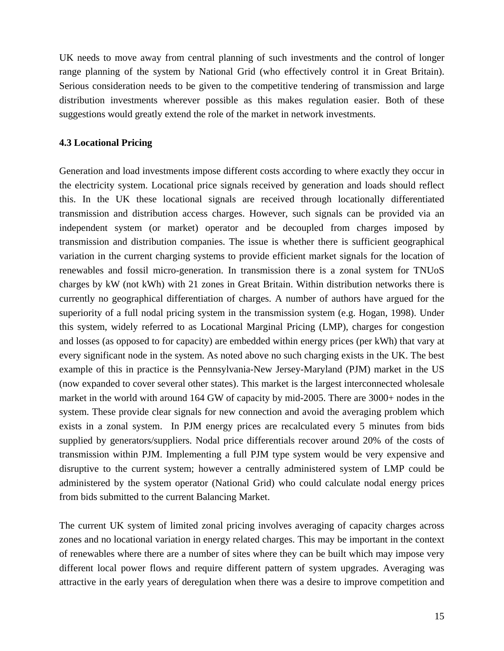UK needs to move away from central planning of such investments and the control of longer range planning of the system by National Grid (who effectively control it in Great Britain). Serious consideration needs to be given to the competitive tendering of transmission and large distribution investments wherever possible as this makes regulation easier. Both of these suggestions would greatly extend the role of the market in network investments.

#### **4.3 Locational Pricing**

Generation and load investments impose different costs according to where exactly they occur in the electricity system. Locational price signals received by generation and loads should reflect this. In the UK these locational signals are received through locationally differentiated transmission and distribution access charges. However, such signals can be provided via an independent system (or market) operator and be decoupled from charges imposed by transmission and distribution companies. The issue is whether there is sufficient geographical variation in the current charging systems to provide efficient market signals for the location of renewables and fossil micro-generation. In transmission there is a zonal system for TNUoS charges by kW (not kWh) with 21 zones in Great Britain. Within distribution networks there is currently no geographical differentiation of charges. A number of authors have argued for the superiority of a full nodal pricing system in the transmission system (e.g. Hogan, 1998). Under this system, widely referred to as Locational Marginal Pricing (LMP), charges for congestion and losses (as opposed to for capacity) are embedded within energy prices (per kWh) that vary at every significant node in the system. As noted above no such charging exists in the UK. The best example of this in practice is the Pennsylvania-New Jersey-Maryland (PJM) market in the US (now expanded to cover several other states). This market is the largest interconnected wholesale market in the world with around 164 GW of capacity by mid-2005. There are 3000+ nodes in the system. These provide clear signals for new connection and avoid the averaging problem which exists in a zonal system. In PJM energy prices are recalculated every 5 minutes from bids supplied by generators/suppliers. Nodal price differentials recover around 20% of the costs of transmission within PJM. Implementing a full PJM type system would be very expensive and disruptive to the current system; however a centrally administered system of LMP could be administered by the system operator (National Grid) who could calculate nodal energy prices from bids submitted to the current Balancing Market.

The current UK system of limited zonal pricing involves averaging of capacity charges across zones and no locational variation in energy related charges. This may be important in the context of renewables where there are a number of sites where they can be built which may impose very different local power flows and require different pattern of system upgrades. Averaging was attractive in the early years of deregulation when there was a desire to improve competition and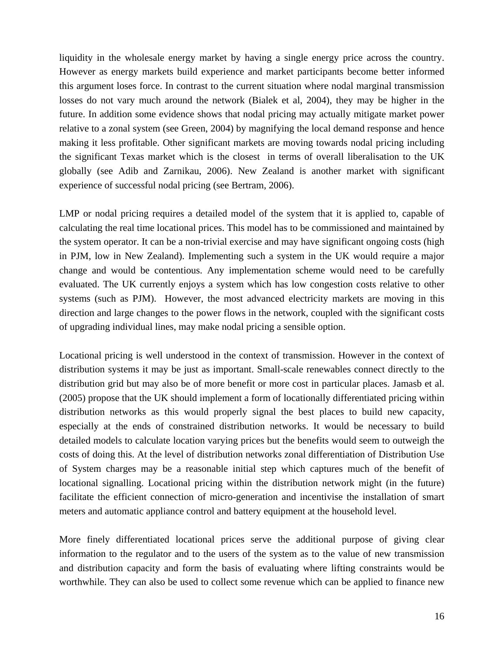liquidity in the wholesale energy market by having a single energy price across the country. However as energy markets build experience and market participants become better informed this argument loses force. In contrast to the current situation where nodal marginal transmission losses do not vary much around the network (Bialek et al, 2004), they may be higher in the future. In addition some evidence shows that nodal pricing may actually mitigate market power relative to a zonal system (see Green, 2004) by magnifying the local demand response and hence making it less profitable. Other significant markets are moving towards nodal pricing including the significant Texas market which is the closest in terms of overall liberalisation to the UK globally (see Adib and Zarnikau, 2006). New Zealand is another market with significant experience of successful nodal pricing (see Bertram, 2006).

LMP or nodal pricing requires a detailed model of the system that it is applied to, capable of calculating the real time locational prices. This model has to be commissioned and maintained by the system operator. It can be a non-trivial exercise and may have significant ongoing costs (high in PJM, low in New Zealand). Implementing such a system in the UK would require a major change and would be contentious. Any implementation scheme would need to be carefully evaluated. The UK currently enjoys a system which has low congestion costs relative to other systems (such as PJM). However, the most advanced electricity markets are moving in this direction and large changes to the power flows in the network, coupled with the significant costs of upgrading individual lines, may make nodal pricing a sensible option.

Locational pricing is well understood in the context of transmission. However in the context of distribution systems it may be just as important. Small-scale renewables connect directly to the distribution grid but may also be of more benefit or more cost in particular places. Jamasb et al. (2005) propose that the UK should implement a form of locationally differentiated pricing within distribution networks as this would properly signal the best places to build new capacity, especially at the ends of constrained distribution networks. It would be necessary to build detailed models to calculate location varying prices but the benefits would seem to outweigh the costs of doing this. At the level of distribution networks zonal differentiation of Distribution Use of System charges may be a reasonable initial step which captures much of the benefit of locational signalling. Locational pricing within the distribution network might (in the future) facilitate the efficient connection of micro-generation and incentivise the installation of smart meters and automatic appliance control and battery equipment at the household level.

More finely differentiated locational prices serve the additional purpose of giving clear information to the regulator and to the users of the system as to the value of new transmission and distribution capacity and form the basis of evaluating where lifting constraints would be worthwhile. They can also be used to collect some revenue which can be applied to finance new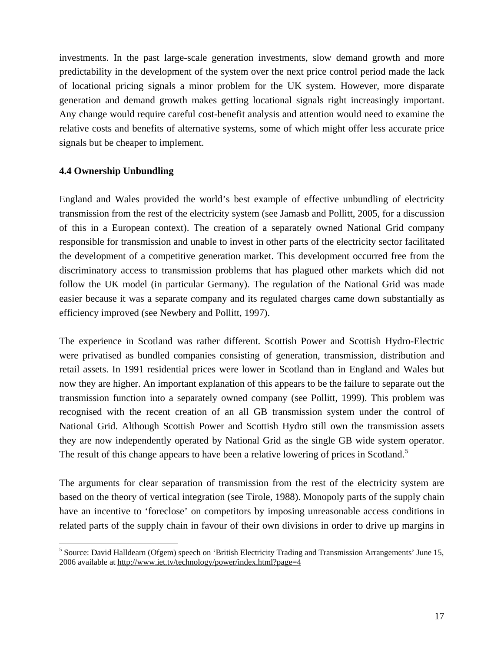investments. In the past large-scale generation investments, slow demand growth and more predictability in the development of the system over the next price control period made the lack of locational pricing signals a minor problem for the UK system. However, more disparate generation and demand growth makes getting locational signals right increasingly important. Any change would require careful cost-benefit analysis and attention would need to examine the relative costs and benefits of alternative systems, some of which might offer less accurate price signals but be cheaper to implement.

## **4.4 Ownership Unbundling**

 $\overline{a}$ 

England and Wales provided the world's best example of effective unbundling of electricity transmission from the rest of the electricity system (see Jamasb and Pollitt, 2005, for a discussion of this in a European context). The creation of a separately owned National Grid company responsible for transmission and unable to invest in other parts of the electricity sector facilitated the development of a competitive generation market. This development occurred free from the discriminatory access to transmission problems that has plagued other markets which did not follow the UK model (in particular Germany). The regulation of the National Grid was made easier because it was a separate company and its regulated charges came down substantially as efficiency improved (see Newbery and Pollitt, 1997).

The experience in Scotland was rather different. Scottish Power and Scottish Hydro-Electric were privatised as bundled companies consisting of generation, transmission, distribution and retail assets. In 1991 residential prices were lower in Scotland than in England and Wales but now they are higher. An important explanation of this appears to be the failure to separate out the transmission function into a separately owned company (see Pollitt, 1999). This problem was recognised with the recent creation of an all GB transmission system under the control of National Grid. Although Scottish Power and Scottish Hydro still own the transmission assets they are now independently operated by National Grid as the single GB wide system operator. The result of this change appears to have been a relative lowering of prices in Scotland.<sup>[5](#page-17-0)</sup>

The arguments for clear separation of transmission from the rest of the electricity system are based on the theory of vertical integration (see Tirole, 1988). Monopoly parts of the supply chain have an incentive to 'foreclose' on competitors by imposing unreasonable access conditions in related parts of the supply chain in favour of their own divisions in order to drive up margins in

<span id="page-17-0"></span><sup>&</sup>lt;sup>5</sup> Source: David Halldearn (Ofgem) speech on 'British Electricity Trading and Transmission Arrangements' June 15, 2006 available at <http://www.iet.tv/technology/power/index.html?page=4>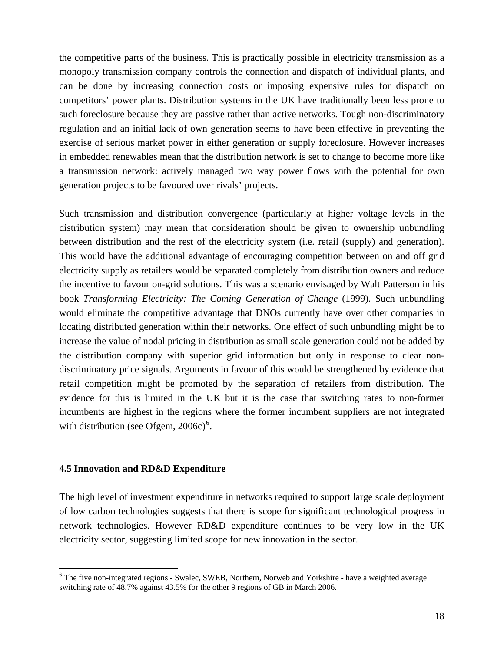the competitive parts of the business. This is practically possible in electricity transmission as a monopoly transmission company controls the connection and dispatch of individual plants, and can be done by increasing connection costs or imposing expensive rules for dispatch on competitors' power plants. Distribution systems in the UK have traditionally been less prone to such foreclosure because they are passive rather than active networks. Tough non-discriminatory regulation and an initial lack of own generation seems to have been effective in preventing the exercise of serious market power in either generation or supply foreclosure. However increases in embedded renewables mean that the distribution network is set to change to become more like a transmission network: actively managed two way power flows with the potential for own generation projects to be favoured over rivals' projects.

Such transmission and distribution convergence (particularly at higher voltage levels in the distribution system) may mean that consideration should be given to ownership unbundling between distribution and the rest of the electricity system (i.e. retail (supply) and generation). This would have the additional advantage of encouraging competition between on and off grid electricity supply as retailers would be separated completely from distribution owners and reduce the incentive to favour on-grid solutions. This was a scenario envisaged by Walt Patterson in his book *Transforming Electricity: The Coming Generation of Change* (1999). Such unbundling would eliminate the competitive advantage that DNOs currently have over other companies in locating distributed generation within their networks. One effect of such unbundling might be to increase the value of nodal pricing in distribution as small scale generation could not be added by the distribution company with superior grid information but only in response to clear nondiscriminatory price signals. Arguments in favour of this would be strengthened by evidence that retail competition might be promoted by the separation of retailers from distribution. The evidence for this is limited in the UK but it is the case that switching rates to non-former incumbents are highest in the regions where the former incumbent suppliers are not integrated with distribution (see Ofgem,  $2006c$  $2006c$  $2006c$ )<sup>6</sup>.

#### **4.5 Innovation and RD&D Expenditure**

 $\overline{a}$ 

The high level of investment expenditure in networks required to support large scale deployment of low carbon technologies suggests that there is scope for significant technological progress in network technologies. However RD&D expenditure continues to be very low in the UK electricity sector, suggesting limited scope for new innovation in the sector.

<span id="page-18-0"></span><sup>&</sup>lt;sup>6</sup> The five non-integrated regions - Swalec, SWEB, Northern, Norweb and Yorkshire - have a weighted average switching rate of 48.7% against 43.5% for the other 9 regions of GB in March 2006.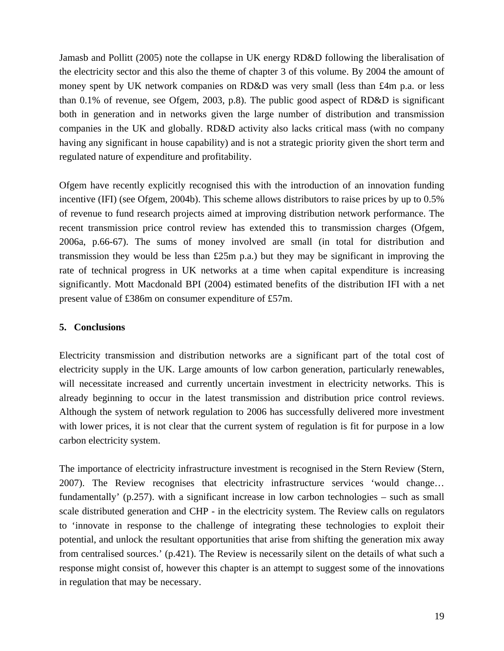Jamasb and Pollitt (2005) note the collapse in UK energy RD&D following the liberalisation of the electricity sector and this also the theme of chapter 3 of this volume. By 2004 the amount of money spent by UK network companies on RD&D was very small (less than £4m p.a. or less than 0.1% of revenue, see Ofgem, 2003, p.8). The public good aspect of RD&D is significant both in generation and in networks given the large number of distribution and transmission companies in the UK and globally. RD&D activity also lacks critical mass (with no company having any significant in house capability) and is not a strategic priority given the short term and regulated nature of expenditure and profitability.

Ofgem have recently explicitly recognised this with the introduction of an innovation funding incentive (IFI) (see Ofgem, 2004b). This scheme allows distributors to raise prices by up to 0.5% of revenue to fund research projects aimed at improving distribution network performance. The recent transmission price control review has extended this to transmission charges (Ofgem, 2006a, p.66-67). The sums of money involved are small (in total for distribution and transmission they would be less than £25m p.a.) but they may be significant in improving the rate of technical progress in UK networks at a time when capital expenditure is increasing significantly. Mott Macdonald BPI (2004) estimated benefits of the distribution IFI with a net present value of £386m on consumer expenditure of £57m.

## **5. Conclusions**

Electricity transmission and distribution networks are a significant part of the total cost of electricity supply in the UK. Large amounts of low carbon generation, particularly renewables, will necessitate increased and currently uncertain investment in electricity networks. This is already beginning to occur in the latest transmission and distribution price control reviews. Although the system of network regulation to 2006 has successfully delivered more investment with lower prices, it is not clear that the current system of regulation is fit for purpose in a low carbon electricity system.

The importance of electricity infrastructure investment is recognised in the Stern Review (Stern, 2007). The Review recognises that electricity infrastructure services 'would change… fundamentally' (p.257). with a significant increase in low carbon technologies – such as small scale distributed generation and CHP - in the electricity system. The Review calls on regulators to 'innovate in response to the challenge of integrating these technologies to exploit their potential, and unlock the resultant opportunities that arise from shifting the generation mix away from centralised sources.' (p.421). The Review is necessarily silent on the details of what such a response might consist of, however this chapter is an attempt to suggest some of the innovations in regulation that may be necessary.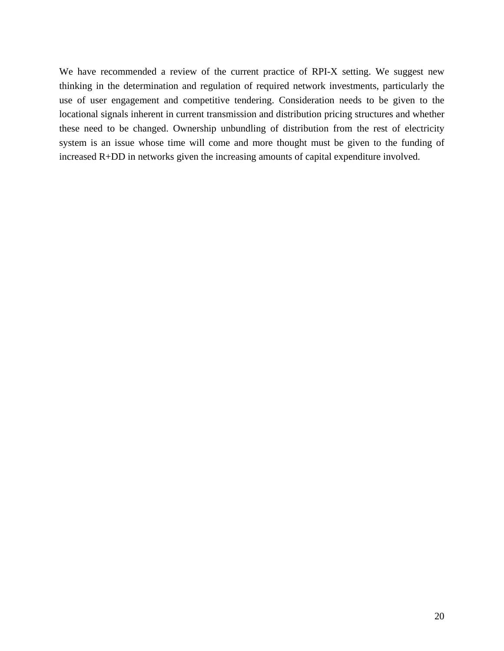We have recommended a review of the current practice of RPI-X setting. We suggest new thinking in the determination and regulation of required network investments, particularly the use of user engagement and competitive tendering. Consideration needs to be given to the locational signals inherent in current transmission and distribution pricing structures and whether these need to be changed. Ownership unbundling of distribution from the rest of electricity system is an issue whose time will come and more thought must be given to the funding of increased R+DD in networks given the increasing amounts of capital expenditure involved.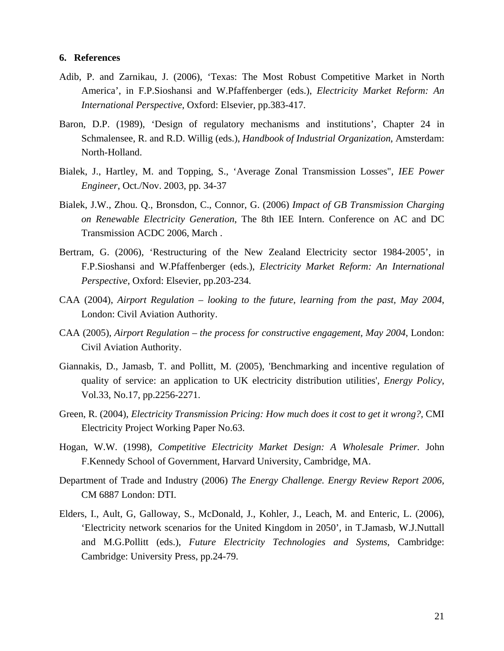#### **6. References**

- Adib, P. and Zarnikau, J. (2006), 'Texas: The Most Robust Competitive Market in North America', in F.P.Sioshansi and W.Pfaffenberger (eds.), *Electricity Market Reform: An International Perspective*, Oxford: Elsevier, pp.383-417.
- Baron, D.P. (1989), 'Design of regulatory mechanisms and institutions', Chapter 24 in Schmalensee, R. and R.D. Willig (eds.), *Handbook of Industrial Organization*, Amsterdam: North-Holland.
- Bialek, J., Hartley, M. and Topping, S., 'Average Zonal Transmission Losses", *IEE Power Engineer*, Oct./Nov. 2003, pp. 34-37
- Bialek, J.W., Zhou. Q., Bronsdon, C., Connor, G. (2006) *Impact of GB Transmission Charging on Renewable Electricity Generation*, The 8th IEE Intern. Conference on AC and DC Transmission ACDC 2006, March .
- Bertram, G. (2006), 'Restructuring of the New Zealand Electricity sector 1984-2005', in F.P.Sioshansi and W.Pfaffenberger (eds.), *Electricity Market Reform: An International Perspective*, Oxford: Elsevier, pp.203-234.
- CAA (2004), *Airport Regulation looking to the future, learning from the past, May 2004*, London: Civil Aviation Authority.
- CAA (2005), *Airport Regulation the process for constructive engagement, May 2004*, London: Civil Aviation Authority.
- Giannakis, D., Jamasb, T. and Pollitt, M. (2005), 'Benchmarking and incentive regulation of quality of service: an application to UK electricity distribution utilities', *Energy Policy*, Vol.33, No.17, pp.2256-2271.
- Green, R. (2004), *Electricity Transmission Pricing: How much does it cost to get it wrong?,* CMI Electricity Project Working Paper No.63.
- Hogan, W.W. (1998), *Competitive Electricity Market Design: A Wholesale Primer.* John F.Kennedy School of Government, Harvard University, Cambridge, MA.
- Department of Trade and Industry (2006) *The Energy Challenge. Energy Review Report 2006,*  CM 6887 London: DTI.
- Elders, I., Ault, G, Galloway, S., McDonald, J., Kohler, J., Leach, M. and Enteric, L. (2006), 'Electricity network scenarios for the United Kingdom in 2050', in T.Jamasb, W.J.Nuttall and M.G.Pollitt (eds.), *Future Electricity Technologies and Systems*, Cambridge: Cambridge: University Press, pp.24-79.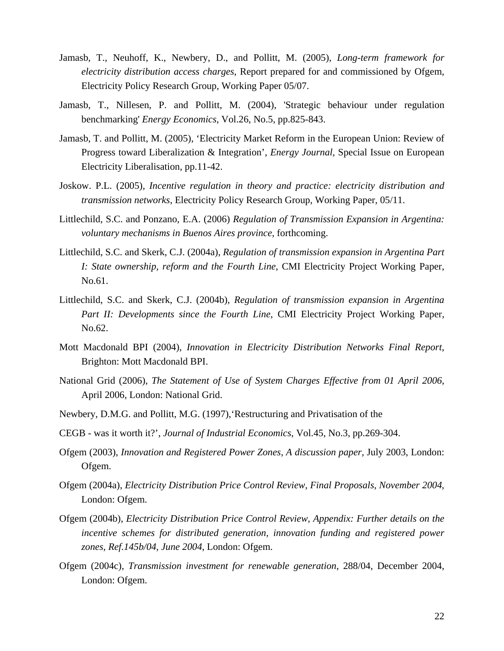- Jamasb, T., Neuhoff, K., Newbery, D., and Pollitt, M. (2005), *Long-term framework for electricity distribution access charges*, Report prepared for and commissioned by Ofgem, Electricity Policy Research Group, Working Paper 05/07.
- Jamasb, T., Nillesen, P. and Pollitt, M. (2004), 'Strategic behaviour under regulation benchmarking' *Energy Economics*, Vol.26, No.5, pp.825-843.
- Jamasb, T. and Pollitt, M. (2005), 'Electricity Market Reform in the European Union: Review of Progress toward Liberalization & Integration', *Energy Journal*, Special Issue on European Electricity Liberalisation, pp.11-42.
- Joskow. P.L. (2005), *Incentive regulation in theory and practice: electricity distribution and transmission networks*, Electricity Policy Research Group, Working Paper, 05/11.
- Littlechild, S.C. and Ponzano, E.A. (2006) *Regulation of Transmission Expansion in Argentina: voluntary mechanisms in Buenos Aires province*, forthcoming.
- Littlechild, S.C. and Skerk, C.J. (2004a), *Regulation of transmission expansion in Argentina Part I: State ownership, reform and the Fourth Line*, CMI Electricity Project Working Paper, No.61.
- Littlechild, S.C. and Skerk, C.J. (2004b), *Regulation of transmission expansion in Argentina Part II: Developments since the Fourth Line*, CMI Electricity Project Working Paper, No.62.
- Mott Macdonald BPI (2004), *Innovation in Electricity Distribution Networks Final Report*, Brighton: Mott Macdonald BPI.
- National Grid (2006), *The Statement of Use of System Charges Effective from 01 April 2006*, April 2006, London: National Grid.
- Newbery, D.M.G. and Pollitt, M.G. (1997),'Restructuring and Privatisation of the
- CEGB was it worth it?', *Journal of Industrial Economics*, Vol.45, No.3, pp.269-304.
- Ofgem (2003), *Innovation and Registered Power Zones, A discussion paper*, July 2003, London: Ofgem.
- Ofgem (2004a), *Electricity Distribution Price Control Review, Final Proposals, November 2004*, London: Ofgem.
- Ofgem (2004b), *Electricity Distribution Price Control Review, Appendix: Further details on the incentive schemes for distributed generation, innovation funding and registered power zones, Ref.145b/04, June 2004*, London: Ofgem.
- Ofgem (2004c), *Transmission investment for renewable generation*, 288/04, December 2004, London: Ofgem.